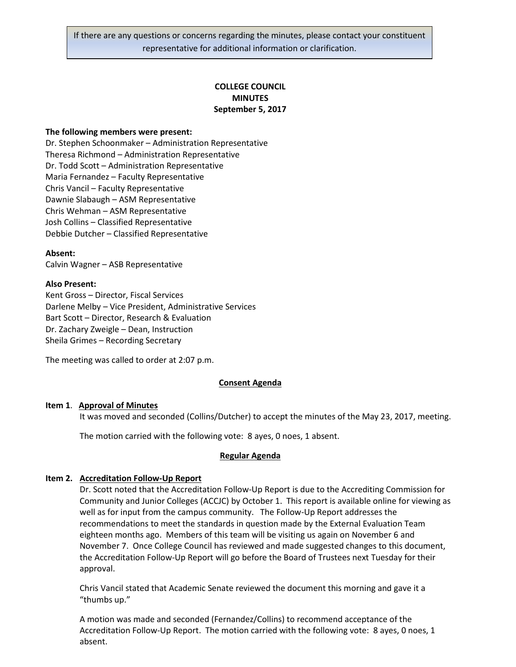# **COLLEGE COUNCIL MINUTES September 5, 2017**

### **The following members were present:**

Dr. Stephen Schoonmaker – Administration Representative Theresa Richmond – Administration Representative Dr. Todd Scott – Administration Representative Maria Fernandez – Faculty Representative Chris Vancil – Faculty Representative Dawnie Slabaugh – ASM Representative Chris Wehman – ASM Representative Josh Collins – Classified Representative Debbie Dutcher – Classified Representative

### **Absent:**

Calvin Wagner – ASB Representative

### **Also Present:**

Kent Gross – Director, Fiscal Services Darlene Melby – Vice President, Administrative Services Bart Scott – Director, Research & Evaluation Dr. Zachary Zweigle – Dean, Instruction Sheila Grimes – Recording Secretary

The meeting was called to order at 2:07 p.m.

#### **Consent Agenda**

#### **Item 1**. **Approval of Minutes**

It was moved and seconded (Collins/Dutcher) to accept the minutes of the May 23, 2017, meeting.

The motion carried with the following vote: 8 ayes, 0 noes, 1 absent.

#### **Regular Agenda**

### **Item 2. Accreditation Follow-Up Report**

Dr. Scott noted that the Accreditation Follow-Up Report is due to the Accrediting Commission for Community and Junior Colleges (ACCJC) by October 1. This report is available online for viewing as well as for input from the campus community. The Follow-Up Report addresses the recommendations to meet the standards in question made by the External Evaluation Team eighteen months ago. Members of this team will be visiting us again on November 6 and November 7. Once College Council has reviewed and made suggested changes to this document, the Accreditation Follow-Up Report will go before the Board of Trustees next Tuesday for their approval.

Chris Vancil stated that Academic Senate reviewed the document this morning and gave it a "thumbs up."

A motion was made and seconded (Fernandez/Collins) to recommend acceptance of the Accreditation Follow-Up Report. The motion carried with the following vote: 8 ayes, 0 noes, 1 absent.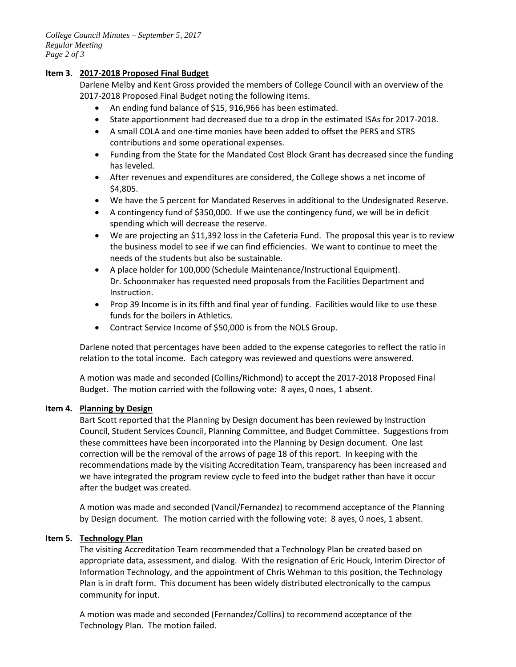*College Council Minutes – September 5, 2017 Regular Meeting Page 2 of 3*

## **Item 3. 2017-2018 Proposed Final Budget**

Darlene Melby and Kent Gross provided the members of College Council with an overview of the 2017-2018 Proposed Final Budget noting the following items.

- An ending fund balance of \$15, 916,966 has been estimated.
- State apportionment had decreased due to a drop in the estimated ISAs for 2017-2018.
- A small COLA and one-time monies have been added to offset the PERS and STRS contributions and some operational expenses.
- Funding from the State for the Mandated Cost Block Grant has decreased since the funding has leveled.
- After revenues and expenditures are considered, the College shows a net income of \$4,805.
- We have the 5 percent for Mandated Reserves in additional to the Undesignated Reserve.
- A contingency fund of \$350,000. If we use the contingency fund, we will be in deficit spending which will decrease the reserve.
- We are projecting an \$11,392 loss in the Cafeteria Fund. The proposal this year is to review the business model to see if we can find efficiencies. We want to continue to meet the needs of the students but also be sustainable.
- A place holder for 100,000 (Schedule Maintenance/Instructional Equipment). Dr. Schoonmaker has requested need proposals from the Facilities Department and Instruction.
- Prop 39 Income is in its fifth and final year of funding. Facilities would like to use these funds for the boilers in Athletics.
- Contract Service Income of \$50,000 is from the NOLS Group.

Darlene noted that percentages have been added to the expense categories to reflect the ratio in relation to the total income. Each category was reviewed and questions were answered.

A motion was made and seconded (Collins/Richmond) to accept the 2017-2018 Proposed Final Budget. The motion carried with the following vote: 8 ayes, 0 noes, 1 absent.

## I**tem 4. Planning by Design**

Bart Scott reported that the Planning by Design document has been reviewed by Instruction Council, Student Services Council, Planning Committee, and Budget Committee. Suggestions from these committees have been incorporated into the Planning by Design document. One last correction will be the removal of the arrows of page 18 of this report. In keeping with the recommendations made by the visiting Accreditation Team, transparency has been increased and we have integrated the program review cycle to feed into the budget rather than have it occur after the budget was created.

A motion was made and seconded (Vancil/Fernandez) to recommend acceptance of the Planning by Design document. The motion carried with the following vote: 8 ayes, 0 noes, 1 absent.

## I**tem 5. Technology Plan**

The visiting Accreditation Team recommended that a Technology Plan be created based on appropriate data, assessment, and dialog. With the resignation of Eric Houck, Interim Director of Information Technology, and the appointment of Chris Wehman to this position, the Technology Plan is in draft form. This document has been widely distributed electronically to the campus community for input.

A motion was made and seconded (Fernandez/Collins) to recommend acceptance of the Technology Plan. The motion failed.